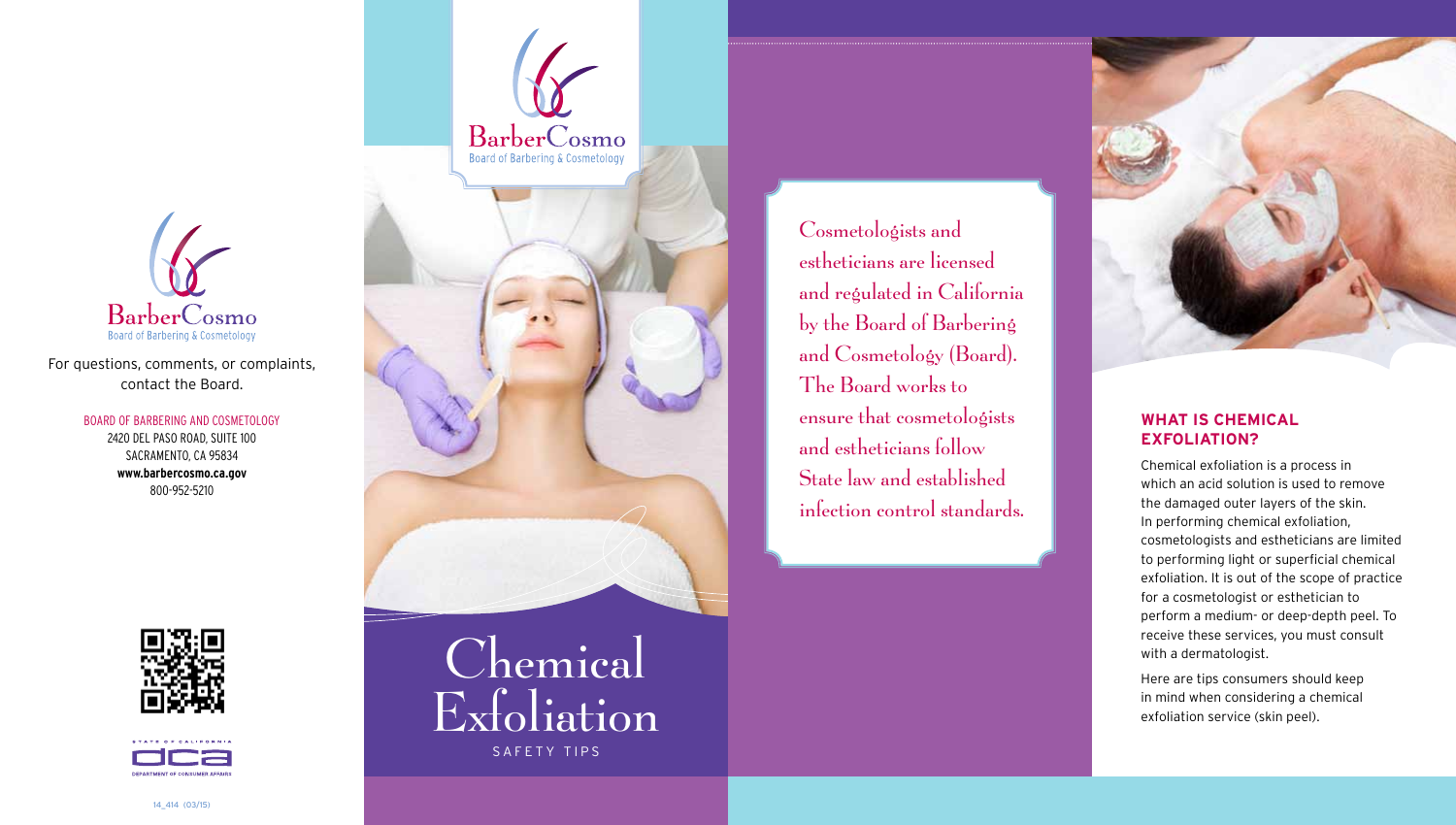

for questions, comments, or complaints, contact the Board.

> Board of BarBering and Cosmetology 2420 del Paso road, suite 100 SACRAMENTO, CA 95834 **<www.barbercosmo.ca.gov>** 800-952-5210







Cosmetologists and estheticians are licensed and regulated in California by the Board of Barbering and Cosmetology (Board). The Board works to ensure that cosmetologists and estheticians follow State law and established infection control standards.



# **What is ChemiCal exfoliation?**

Chemical exfoliation is a process in which an acid solution is used to remove the damaged outer layers of the skin. in performing chemical exfoliation, cosmetologists and estheticians are limited to performing light or superficial chemical exfoliation. it is out of the scope of practice for a cosmetologist or esthetician to perform a medium- or deep-depth peel. To receive these services, you must consult with a dermatologist.

Here are tips consumers should keep in mind when considering a chemical exfoliation service (skin peel).